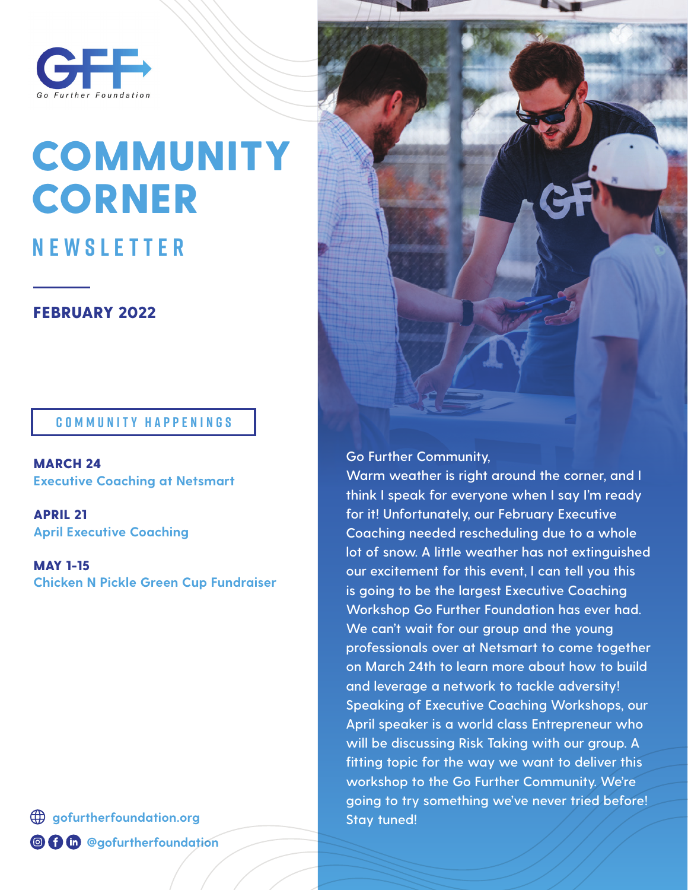

# **COMMUNITY CORNER**

# **NEWSLETTER**

## FEBRUARY 2022

### **COMMUNITY HAPPENINGS**

MARCH 24 **Executive Coaching at Netsmart**

APRIL 21 **April Executive Coaching**

MAY 1-15 **Chicken N Pickle Green Cup Fundraiser**

**gofurtherfoundation.org @ 0 th @gofurtherfoundation** 

#### **Go Further Community,**

**Warm weather is right around the corner, and I think I speak for everyone when I say I'm ready for it! Unfortunately, our February Executive Coaching needed rescheduling due to a whole lot of snow. A little weather has not extinguished our excitement for this event, I can tell you this is going to be the largest Executive Coaching Workshop Go Further Foundation has ever had. We can't wait for our group and the young professionals over at Netsmart to come together on March 24th to learn more about how to build and leverage a network to tackle adversity! Speaking of Executive Coaching Workshops, our April speaker is a world class Entrepreneur who will be discussing Risk Taking with our group. A fitting topic for the way we want to deliver this workshop to the Go Further Community. We're going to try something we've never tried before! Stay tuned!**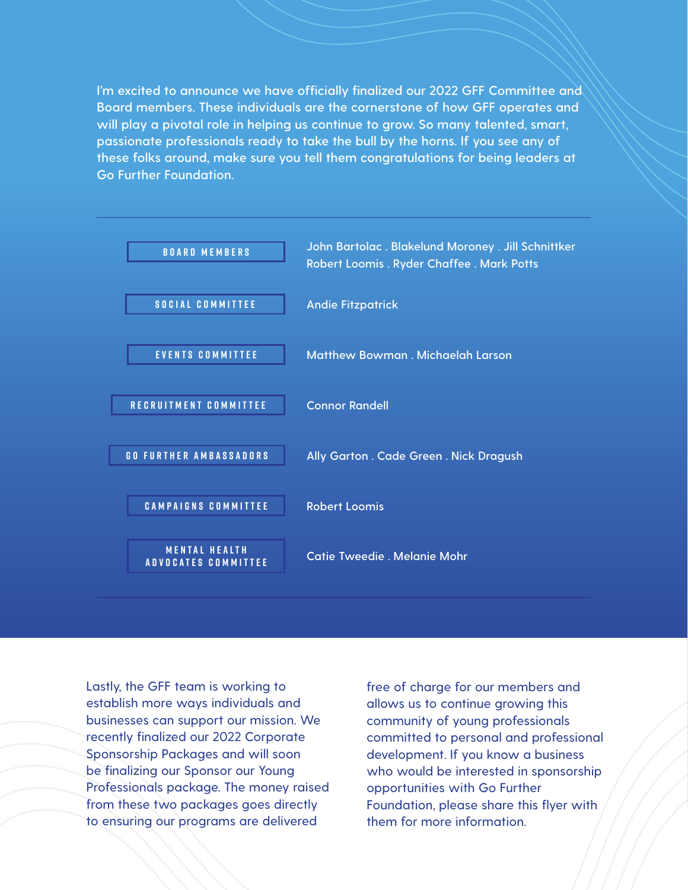**I'm excited to announce we have officially finalized our 2022 GFF Committee and Board members. These individuals are the cornerstone of how GFF operates and will play a pivotal role in helping us continue to grow. So many talented, smart, passionate professionals ready to take the bull by the horns. If you see any of these folks around, make sure you tell them congratulations for being leaders at Go Further Foundation.**



Lastly, the GFF team is working to establish more ways individuals and businesses can support our mission. We recently finalized our 2022 Corporate Sponsorship Packages and will soon be finalizing our Sponsor our Young Professionals package. The money raised from these two packages goes directly to ensuring our programs are delivered

free of charge for our members and allows us to continue growing this community of young professionals committed to personal and professional development. If you know a business who would be interested in sponsorship opportunities with Go Further Foundation, please share this flyer with them for more information.